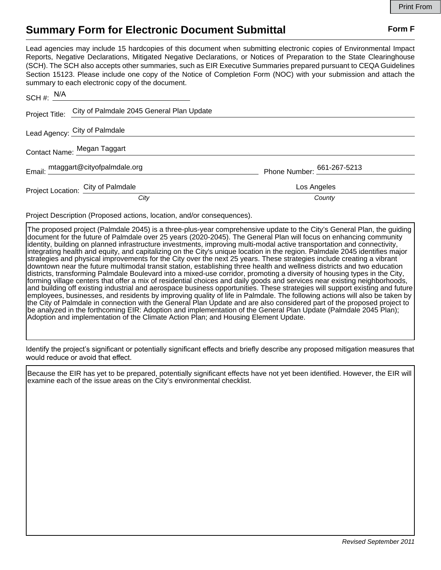## **Summary Form for Electronic Document Submittal Form F Form F**

Lead agencies may include 15 hardcopies of this document when submitting electronic copies of Environmental Impact Reports, Negative Declarations, Mitigated Negative Declarations, or Notices of Preparation to the State Clearinghouse (SCH). The SCH also accepts other summaries, such as EIR Executive Summaries prepared pursuant to CEQA Guidelines Section 15123. Please include one copy of the Notice of Completion Form (NOC) with your submission and attach the summary to each electronic copy of the document.

|                             | $SCH \#: \frac{N/A}{N}$                                  |                            |
|-----------------------------|----------------------------------------------------------|----------------------------|
|                             | Project Title: City of Palmdale 2045 General Plan Update |                            |
|                             | Lead Agency: City of Palmdale                            |                            |
| Contact Name: Megan Taggart |                                                          |                            |
|                             | Email: mtaggart@cityofpalmdale.org                       | Phone Number: 661-267-5213 |
|                             | Project Location: City of Palmdale                       | Los Angeles                |
|                             | City                                                     | County                     |

Project Description (Proposed actions, location, and/or consequences).

The proposed project (Palmdale 2045) is a three-plus-year comprehensive update to the City's General Plan, the guiding document for the future of Palmdale over 25 years (2020-2045). The General Plan will focus on enhancing community identity, building on planned infrastructure investments, improving multi-modal active transportation and connectivity, integrating health and equity, and capitalizing on the City's unique location in the region. Palmdale 2045 identifies major strategies and physical improvements for the City over the next 25 years. These strategies include creating a vibrant downtown near the future multimodal transit station, establishing three health and wellness districts and two education districts, transforming Palmdale Boulevard into a mixed-use corridor, promoting a diversity of housing types in the City, forming village centers that offer a mix of residential choices and daily goods and services near existing neighborhoods, and building off existing industrial and aerospace business opportunities. These strategies will support existing and future employees, businesses, and residents by improving quality of life in Palmdale. The following actions will also be taken by the City of Palmdale in connection with the General Plan Update and are also considered part of the proposed project to be analyzed in the forthcoming EIR: Adoption and implementation of the General Plan Update (Palmdale 2045 Plan); Adoption and implementation of the Climate Action Plan; and Housing Element Update.

Identify the project's significant or potentially significant effects and briefly describe any proposed mitigation measures that would reduce or avoid that effect.

Because the EIR has yet to be prepared, potentially significant effects have not yet been identified. However, the EIR will examine each of the issue areas on the City's environmental checklist.